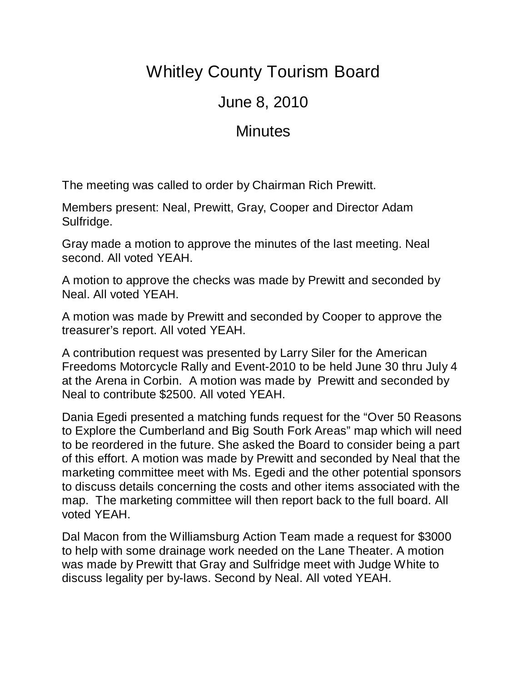## Whitley County Tourism Board

## June 8, 2010

## **Minutes**

The meeting was called to order by Chairman Rich Prewitt.

Members present: Neal, Prewitt, Gray, Cooper and Director Adam Sulfridge.

Gray made a motion to approve the minutes of the last meeting. Neal second. All voted YEAH.

A motion to approve the checks was made by Prewitt and seconded by Neal. All voted YEAH.

A motion was made by Prewitt and seconded by Cooper to approve the treasurer's report. All voted YEAH.

A contribution request was presented by Larry Siler for the American Freedoms Motorcycle Rally and Event-2010 to be held June 30 thru July 4 at the Arena in Corbin. A motion was made by Prewitt and seconded by Neal to contribute \$2500. All voted YEAH.

Dania Egedi presented a matching funds request for the "Over 50 Reasons to Explore the Cumberland and Big South Fork Areas" map which will need to be reordered in the future. She asked the Board to consider being a part of this effort. A motion was made by Prewitt and seconded by Neal that the marketing committee meet with Ms. Egedi and the other potential sponsors to discuss details concerning the costs and other items associated with the map. The marketing committee will then report back to the full board. All voted YEAH.

Dal Macon from the Williamsburg Action Team made a request for \$3000 to help with some drainage work needed on the Lane Theater. A motion was made by Prewitt that Gray and Sulfridge meet with Judge White to discuss legality per by-laws. Second by Neal. All voted YEAH.